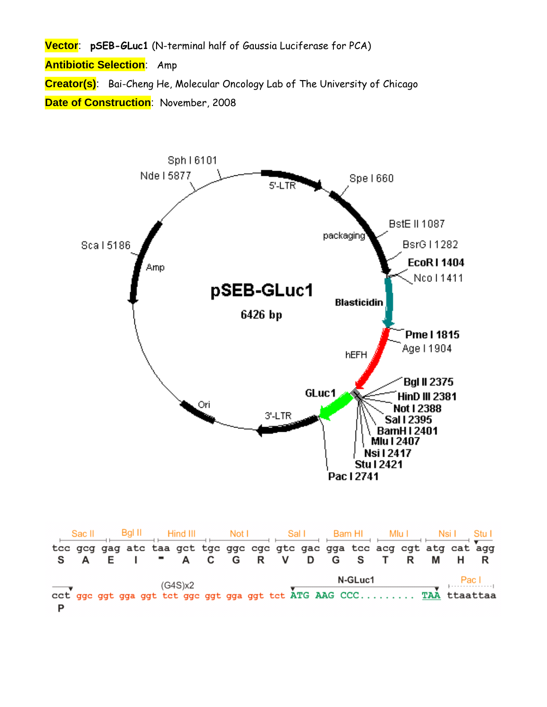**Vector**: **pSEB-GLuc1** (N-terminal half of Gaussia Luciferase for PCA) **Antibiotic Selection**: Amp **Creator(s)**: Bai-Cheng He, Molecular Oncology Lab of The University of Chicago **Date of Construction**: November, 2008



|   | Bal II<br>Sac II |  | Hind III |  |                                                                         |  | Not I<br>Sal I |  | Bam HI |  | Mlu I |         | Nsil Stul |   |  |       |       |
|---|------------------|--|----------|--|-------------------------------------------------------------------------|--|----------------|--|--------|--|-------|---------|-----------|---|--|-------|-------|
|   |                  |  |          |  | tee geg gag ate taa get tge gge ege gte gae gga tee aeg egt atg eat agg |  |                |  |        |  |       |         |           |   |  |       |       |
|   | S A              |  |          |  | E I " A C G R V D G S T                                                 |  |                |  |        |  |       |         |           | R |  | M H R |       |
|   |                  |  |          |  | (G4S)x2                                                                 |  |                |  |        |  |       | N-GLuc1 |           |   |  |       | Pac I |
|   |                  |  |          |  | cct ggc ggt gga ggt tct ggc ggt gga ggt tct ATG AAG CCC TAA ttaattaa    |  |                |  |        |  |       |         |           |   |  |       |       |
| D |                  |  |          |  |                                                                         |  |                |  |        |  |       |         |           |   |  |       |       |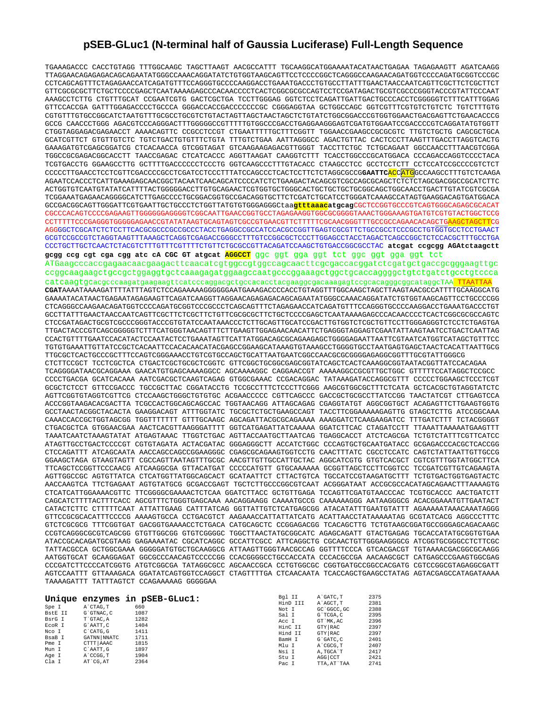## **pSEB-GLuc1 (N-terminal half of Gaussia Luciferase) Full-Length Sequence**

TGAAAGACCC CACCTGTAGG TTTGGCAAGC TAGCTTAAGT AACGCCATTT TGCAAGGCATGGAAAATACATAACTGAGAA TAGAGAAGTT AGATCAAGG TTAGGAACAGAGAGACAGCAGAATATGGGCCAAACAGGATATCTGTGGTAAGCAGTTCCTCCCCGGCTCAGGGCCAAGAACAGATGGTCCCCAGATGCGGTCCCGC CCTCAGCAGTTTCTAGAGAACCATCAGATGTTTCCAGGGTGCCCCAAGGACCTGAAATGACCCTGTGCCTTATTTGAACTAACCAATCAGTTCGCTTCTCGCTTCT GTTCGCGCGCTTCTGCTCCCCGAGCTCAATAAAAGAGCCCACAACCCCTCACTCGGCGCGCCAGTCCTCCGATAGACTGCGTCGCCCGGGTACCCGTATTCCCAAT AAAGCCTCTTG CTGTTTGCAT CCGAATCGTG GACTCGCTGA TCCTTGGGAG GGTCTCCTCAGATTGATTGACTGCCCACCTCGGGGGTCTTTCATTTGGAG GTTCCACCGA GATTTGGAGACCCCTGCCCA GGGACCACCGACCCCCCCGC CGGGAGGTAA GCTGGCCAGC GGTCGTTTCGTGTCTGTCTC TGTCTTTGTG CGTGTTTGTGCCGGCATCTAATGTTTGCGCCTGCGTCTGTACTAGTTAGCTAACTAGCTCTGTATCTGGCGGACCCGTGGTGGAACTGACGAGTTCTGAACACCCG GCCG CAACCCTGGG AGACGTCCCAGGGACTTTGGGGGCCGTTTTTGTGGCCCGACCTGAGGAAGGGAGTCGATGTGGAATCCGACCCCGTCAGGATATGTGGTT CTGGTAGGAGACGAGAACCT AAAACAGTTC CCGCCTCCGT CTGAATTTTTGCTTTCGGTT TGGAACCGAAGCCGCGCGTC TTGTCTGCTG CAGCGCTGCA GCATCGTTCT GTGTTGTCTC TGTCTGACTGTGTTTCTGTA TTTGTCTGAA AATTAGGGCC AGACTGTTAC CACTCCCTTAAGTTTGACCTTAGGTCACTG GAAAGATGTCGAGCGGATCG CTCACAACCA GTCGGTAGAT GTCAAGAAGAGACGTTGGGT TACCTTCTGC TCTGCAGAAT GGCCAACCTTTAACGTCGGA TGGCCGCGAGACGGCACCTT TAACCGAGAC CTCATCACCC AGGTTAAGAT CAAGGTCTTT TCACCTGGCCCGCATGGACA CCCAGACCAGGTCCCCTACA TCGTGACCTG GGAAGCCTTG GCTTTTGACCCCCCTCCCTG GGTCAAGCCCTTTGTACACC CTAAGCCTCC GCCTCCTCTT CCTCCATCCGCCCCGTCTCT CCCCCTTGAACCTCCTCGTTCGACCCCGCCTCGATCCTCCCTTTATCCAGCCCTCACTCCTTCTCTAGGCGCCG**GAATTC**ACCATGGCCAAGCCTTTGTCTCAAGA AGAATCCACCCTCATTGAAAGAGCAACGGCTACAATCAACAGCATCCCCATCTCTGAAGACTACAGCGTCGCCAGCGCAGCTCTCTCTAGCGACGGCCGCATCTTC ACTGGTGTCAATGTATATCATTTTACTGGGGGACCTTGTGCAGAACTCGTGGTGCTGGGCACTGCTGCTGCTGCGGCAGCTGGCAACCTGACTTGTATCGTCGCGA TCGGAAATGAGAACAGGGGCATCTTGAGCCCCTGCGGACGGTGCCGACAGGTGCTTCTCGATCTGCATCCTGGGATCAAAGCCATAGTGAAGGACAGTGATGGACA GCCGACGGCAGTTGGGATTCGTGAATTGCTGCCCTCTGGTTATGTGTGGGAGGGCtaa**gtttaaacatgcag**CGCTCCGGTGCCCGTCAGTGGGCAGAGCGCACAT CGCCCACAGTCCCCGAGAAGTTGGGGGGAGGGGTCGGCAATTGAACCGGTGCCTAGAGAAGGTGGCGCGGGGTAAACTGGGAAAGTGATGTCGTGTACTGGCTCCG CCTTTTTCCCGAGGGTGGGGGAGAACCGTATATAAGTGCAGTAGTCGCCGTGAACGTTCTTTTTCGCAACGGGTTTGCCGCCAGAACACAGCTGAAGCTAGCTTCG AGGGGCTCGCATCTCTCCTTCACGCGCCCGCCGCCCTACCTGAGGCCGCCATCCACGCCGGTTGAGTCGCGTTCTGCCGCCTCCCGCCTGTGGTGCCTCCTGAACT GCGTCCGCCGTCTAGGTAAGTTTAAAGCTCAGGTCGAGACCGGGCCTTTGTCCGGCGCTCCCTTGGAGCCTACCTAGACTCAGCCGGCTCTCCACGCTTTGCCTGA CCCTGCTTGCTCAACTCTACGTCTTTGTTTCGTTTTCTGTTCTGCGCCGTTACAGATCCAAGCTGTGACCGGCGCCTAC **atcgat ccgcgg AGAtctaagctt gcgg ccg cgt cga cgg atc cA CGC GT atgcat AGGCCT** ggc ggt gga ggt tct ggc ggt gga ggt tct ATGaagcccaccgagaacaacgaagacttcaacatcgtggccgtggccagcaacttcgcgaccacggatctcgatgctgaccgcgggaagttgc ccggcaagaagctgccgctggaggtgctcaaagagatggaagccaatgcccggaaagctggctgcaccaggggctgtctgatctgcctgtccca  $\mathtt{catcaagt}$ gcacgcccaagatgaagaagttcatcccaggacgctgccacacctacgaaggcgacaaagagtccgcacagggcggcataggcTAA $\blacksquare$   $\mathtt{TTAATTA}$ **CGAT**AAAATAAAAGATTTTATTTAGTCTCCAGAAAAAGGGGGGAATGAAAGACCCCACCTGTAGGTTTGGCAAGCTAGCTTAAGTAACGCCATTTTGCAAGGCATG GAAAATACATAACTGAGAATAGAGAAGTTCAGATCAAGGTTAGGAACAGAGAGACAGCAGAATATGGGCCAAACAGGATATCTGTGGTAAGCAGTTCCTGCCCCGG CTCAGGGCCAAGAACAGATGGTCCCCAGATGCGGTCCCGCCCTCAGCAGTTTCTAGAGAACCATCAGATGTTTCCAGGGTGCCCCAAGGACCTGAAATGACCCTGT GCCTTATTTGAACTAACCAATCAGTTCGCTTCTCGCTTCTGTTCGCGCGCTTCTGCTCCCCGAGCTCAATAAAAGAGCCCACAACCCCTCACTCGGCGCGCCAGTC CTCCGATAGACTGCGTCGCCCGGGTACCCGTGTATCCAATAAACCCTCTTGCAGTTGCATCCGACTTGTGGTCTCGCTGTTCCTTGGGAGGGTCTCCTCTGAGTGA TTGACTACCCGTCAGCGGGGGTCTTTCATGGGTAACAGTTTCTTGAAGTTGGAGAACAACATTCTGAGGGTAGGAGTCGAATATTAAGTAATCCTGACTCAATTAG CCACTGTTTTGAATCCACATACTCCAATACTCCTGAAATAGTTCATTATGGACAGCGCAGAAGAGCTGGGGAGAATTAATTCGTAATCATGGTCATAGCTGTTTCC TGTGTGAAATTGTTATCCGCTCACAATTCCACACAACATACGAGCCGGAAGCATAAAGTGTAAAGCCTGGGGTGCCTAATGAGTGAGCTAACTCACATTAATTGCG TTGCGCTCACTGCCCGCTTTCCAGTCGGGAAACCTGTCGTGCCAGCTGCATTAATGAATCGGCCAACGCGCGGGGAGAGGCGGTTTGCGTATTGGGCG CTCTTCCGCT TCCTCGCTCA CTGACTCGCTGCGCTCGGTC GTTCGGCTGCGGCGAGCGGTATCAGCTCACTCAAAGGCGGTAATACGGTTATCCACAGAA TCAGGGGATAACGCAGGAAA GAACATGTGAGCAAAAGGCC AGCAAAAGGC CAGGAACCGT AAAAAGGCCGCGTTGCTGGC GTTTTTCCATAGGCTCCGCC CCCCTGACGA GCATCACAAA AATCGACGCTCAAGTCAGAG GTGGCGAAAC CCGACAGGAC TATAAAGATACCAGGCGTTT CCCCCTGGAAGCTCCCTCGT GCGCTCTCCT GTTCCGACCC TGCCGCTTAC CGGATACCTG TCCGCCTTTCTCCCTTCGGG AAGCGTGGCGCTTTCTCATA GCTCACGCTGTAGGTATCTC AGTTCGGTGTAGGTCGTTCG CTCCAAGCTGGGCTGTGTGC ACGAACCCCC CGTTCAGCCC GACCGCTGCGCCTTATCCGG TAACTATCGT CTTGAGTCCA ACCCGGTAAGACACGACTTA TCGCCACTGGCAGCAGCCAC TGGTAACAGG ATTAGCAGAG CGAGGTATGT AGGCGGTGCT ACAGAGTTCTTGAAGTGGTG GCCTAACTACGGCTACACTA GAAGGACAGT ATTTGGTATC TGCGCTCTGCTGAAGCCAGT TACCTTCGGAAAAAGAGTTG GTAGCTCTTG ATCCGGCAAA CAAACCACCGCTGGTAGCGG TGGTTTTTTT GTTTGCAAGC AGCAGATTACGCGCAGAAAA AAAGGATCTCAAGAAGATCC TTTGATCTTT TCTACGGGGT CTGACGCTCA GTGGAACGAA AACTCACGTTAAGGGATTTT GGTCATGAGATTATCAAAAA GGATCTTCAC CTAGATCCTT TTAAATTAAAAATGAAGTTT TAAATCAATCTAAAGTATAT ATGAGTAAAC TTGGTCTGAC AGTTACCAATGCTTAATCAG TGAGGCACCT ATCTCAGCGA TCTGTCTATTTCGTTCATCC ATAGTTGCCTGACTCCCCGT CGTGTAGATA ACTACGATAC GGGAGGGCTT ACCATCTGGC CCCAGTGCTGCAATGATACC GCGAGACCCACGCTCACCGG CTCCAGATTT ATCAGCAATA AACCAGCCAGCCGGAAGGGC CGAGCGCAGAAGTGGTCCTG CAACTTTATC CGCCTCCATC CAGTCTATTAATTGTTGCCG GGAAGCTAGA GTAAGTAGTT CGCCAGTTAATAGTTTGCGC AACGTTGTTGCCATTGCTAC AGGCATCGTG GTGTCACGCT CGTCGTTTGGTATGGCTTCA TTCAGCTCCGGTTCCCAACG ATCAAGGCGA GTTACATGAT CCCCCATGTT GTGCAAAAAA GCGGTTAGCTCCTTCGGTCC TCCGATCGTTGTCAGAAGTA AGTTGGCCGC AGTGTTATCA CTCATGGTTATGGCAGCACT GCATAATTCT CTTACTGTCA TGCCATCCGTAAGATGCTTT TCTGTGACTGGTGAGTACTC AACCAAGTCA TTCTGAGAAT AGTGTATGCG GCGACCGAGT TGCTCTTGCCCGGCGTCAAT ACGGGATAAT ACCGCGCCACATAGCAGAACTTTAAAAGTG CTCATCATTGGAAAACGTTC TTCGGGGCGAAAACTCTCAA GGATCTTACC GCTGTTGAGA TCCAGTTCGATGTAACCCAC TCGTGCACCC AACTGATCTT CAGCATCTTTTACTTTCACC AGCGTTTCTGGGTGAGCAAA AACAGGAAGG CAAAATGCCG CAAAAAAGGG AATAAGGGCG ACACGGAAATGTTGAATACT CATACTCTTC CTTTTTCAAT ATTATTGAAG CATTTATCAG GGTTATTGTCTCATGAGCGG ATACATATTTGAATGTATTT AGAAAAATAAACAAATAGGG GTTCCGCGCACATTTCCCCG AAAAGTGCCA CCTGACGTCT AAGAAACCATTATTATCATG ACATTAACCTATAAAAATAG GCGTATCACG AGGCCCTTTC GTCTCGCGCG TTTCGGTGAT GACGGTGAAAACCTCTGACA CATGCAGCTC CCGGAGACGG TCACAGCTTG TCTGTAAGCGGATGCCGGGAGCAGACAAGC CCGTCAGGGCGCGTCAGCGG GTGTTGGCGG GTGTCGGGGC TGGCTTAACTATGCGGCATC AGAGCAGATT GTACTGAGAG TGCACCATATGCGGTGTGAA ATACCGCACAGATGCGTAAG GAGAAAATAC CGCATCAGGC GCCATTCGCC ATTCAGGCTG CGCAACTGTTGGGAAGGGCG ATCGGTGCGGGCCTCTTCGC TATTACGCCA GCTGGCGAAA GGGGGATGTGCTGCAAGGCG ATTAAGTTGGGTAACGCCAG GGTTTTCCCA GTCACGACGT TGTAAAACGACGGCGCAAGG AATGGTGCAT GCAAGGAGAT GGCGCCCAACAGTCCCCCGG CCACGGGGCCTGCCACCATA CCCACGCCGA AACAAGCGCT CATGAGCCCGAAGTGGCGAG CCCGATCTTCCCCATCGGTG ATGTCGGCGA TATAGGCGCC AGCAACCGCA CCTGTGGCGC CGGTGATGCCGGCCACGATG CGTCCGGCGTAGAGGCGATT AGTCCAATTT GTTAAAGACA GGATATCAGTGGTCCAGGCT CTAGTTTTGA CTCAACAATA TCACCAGCTGAAGCCTATAG AGTACGAGCCATAGATAAAA TAAAAGATTT TATTTAGTCT CCAGAAAAAG GGGGGAA

|         |                | Unique enzymes in pSEB-GLuc1: | Bgl II   | A GATC, T    | 2375 |
|---------|----------------|-------------------------------|----------|--------------|------|
|         |                |                               | HinD III | A AGCT, T    | 2381 |
| Spe I   | A CTAG.T       | 660                           | Not I    | GC `GGCC, GC | 2388 |
| BstE II | G`GTNAC.C      | 1087                          | Sal I    | G`TCGA.C     | 2395 |
| BsrG I  | T`GTAC, A      | 1282                          | Acc I    | GT MK.AC     | 2396 |
| ECOR I  | G`AATT.C       | 1404                          | HinC II  | GTY RAC      | 2397 |
| Nco I   | $C$ $CATG$ $G$ | 1411                          | Hind II  | GTY RAC      | 2397 |
| BsaB I  | GATNN NNATC    | 1711                          | BamH I   | G`GATC.C     | 2401 |
| Pme I   | CTTT AAAC      | 1815                          | Mlu I    | A CGCG.T     | 2407 |
| Mun I   | C`AATT.G       | 1897                          | Nsi I    | A. TGCA'T    | 2417 |
| Age I   | A CCGG.T       | 1904                          | Stu I    | AGG CCT      | 2421 |
| Cla I   | AT CG.AT       | 2364                          | Pac I    | TTA, AT`TAA  | 2741 |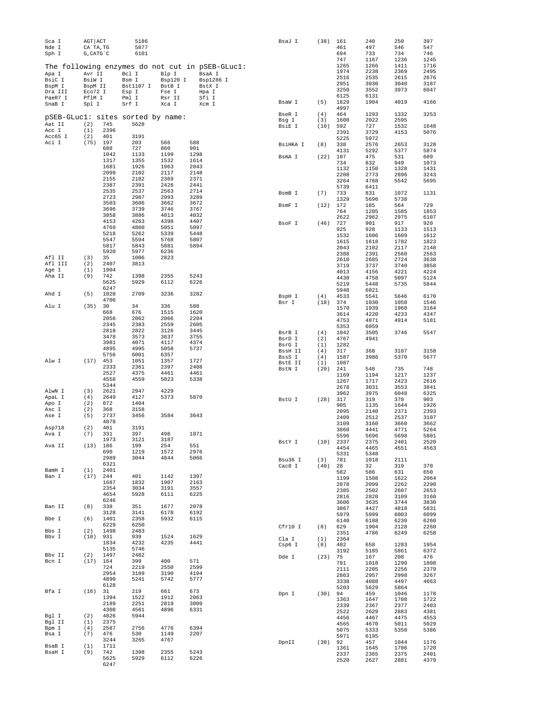| Sca I                             | AGT ACT                |              | 5186         |              |                                                 | BsaJ I            | (38)        | 161          | 240          | 250          | 397          |
|-----------------------------------|------------------------|--------------|--------------|--------------|-------------------------------------------------|-------------------|-------------|--------------|--------------|--------------|--------------|
| Nde I<br>Sph I                    | CA`TA, TG<br>G, CATG C |              | 5877<br>6101 |              |                                                 |                   |             | 461<br>694   | 497<br>733   | 546<br>734   | 547<br>746   |
|                                   |                        |              |              |              |                                                 |                   |             | 747          | 1167         | 1236         | 1245         |
|                                   |                        |              |              |              | The following enzymes do not cut in pSEB-GLucl: |                   |             | 1265         | 1266         | 1411         | 1716         |
| Apa I                             | Avr II                 |              | Bcl I        | Blp I        | BsaA I                                          |                   |             | 1974         | 2238         | 2369         | 2495         |
| BsiC I                            | BsiW I                 |              | Bsm I        | Bsp120 I     | Bsp1286 I                                       |                   |             | 2516         | 2535         | 2615         | 2676         |
| BspM I                            | BspM II                |              | Bst1107 I    | BstB I       | BstX I                                          |                   |             | 2951         | 3030         | 3040         | 3187         |
| Dra III                           | Eco72 I                |              | Esp I        | Fse I        | Hpa I                                           |                   |             | 3250<br>6125 | 3552<br>6131 | 3973         | 6047         |
| PaeR7 I                           | PflM I                 |              | Pml I        | Rsr II       | Sfi I                                           | BsaW I            | (5)         | 1829         | 1904         | 4019         | 4166         |
| SnaB I                            | Spl I                  |              | Srf I        | Xca I        | Xcm I                                           |                   |             | 4997         |              |              |              |
| pSEB-GLucl: sites sorted by name: |                        |              |              |              |                                                 | BseR I            | (4)         | 464          | 1293         | 1332         | 3253         |
| Aat II                            | (2)                    | 745          | 5628         |              |                                                 | Bsg I             | (3)         | 1600         | 2022         | 2595         |              |
| Acc I                             | (1)                    | 2396         |              |              |                                                 | BsiE I            | (10)        | 592          | 727          | 1532         | 1648         |
| Acc65 I                           | (2)                    | 401          | 3191         |              |                                                 |                   |             | 2391<br>5225 | 3729<br>5972 | 4153         | 5076         |
| Aci I                             | (75)                   | 197          | 203          | 566          | 588                                             | BsiHKA I          | (8)         | 338          | 2576         | 2653         | 3128         |
|                                   |                        | 688          | 727          | 860          | 901                                             |                   |             | 4131         | 5292         | 5377         | 5874         |
|                                   |                        | 1042         | 1133         | 1199         | 1298                                            | BsmA I            | (22)        | 107          | 475          | 531          | 609          |
|                                   |                        | 1317<br>1681 | 1355<br>1926 | 1532<br>1963 | 1614<br>2043                                    |                   |             | 734          | 832          | 949          | 1073         |
|                                   |                        | 2099         | 2102         | 2117         | 2148                                            |                   |             | 1132         | 1150         | 1328         | 1431         |
|                                   |                        | 2155         | 2182         | 2369         | 2371                                            |                   |             | 2208<br>3264 | 2773<br>4768 | 2896<br>5542 | 3243<br>5695 |
|                                   |                        | 2387         | 2391         | 2426         | 2441                                            |                   |             | 5739         | 6411         |              |              |
|                                   |                        | 2535         | 2537         | 2563         | 2714                                            | BsmB I            | (7)         | 733          | 831          | 1072         | 1131         |
|                                   |                        | 2723         | 2987         | 2993         | 3289                                            |                   |             | 1329         | 5696         | 5738         |              |
|                                   |                        | 3503<br>3696 | 3606<br>3739 | 3662<br>3746 | 3672<br>3767                                    | BsmF I            | (12)        | 172          | 185          | 564          | 729          |
|                                   |                        | 3858         | 3886         | 4013         | 4032                                            |                   |             | 764          | 1205         | 1585         | 1853         |
|                                   |                        | 4153         | 4263         | 4398         | 4407                                            | BsoF I            | (46)        | 2622<br>727  | 2962<br>901  | 2975<br>917  | 6107<br>920  |
|                                   |                        | 4769         | 4860         | 5051         | 5097                                            |                   |             | 925          | 928          | 1133         | 1513         |
|                                   |                        | 5218         | 5262         | 5339         | 5448                                            |                   |             | 1532         | 1606         | 1609         | 1612         |
|                                   |                        | 5547         | 5594         | 5768         | 5807                                            |                   |             | 1615         | 1618         | 1782         | 1823         |
|                                   |                        | 5817<br>5920 | 5843<br>5977 | 5881<br>6236 | 5894                                            |                   |             | 2043         | 2102         | 2117         | 2148         |
| Afl II                            | (3)                    | 35           | 1006         | 2823         |                                                 |                   |             | 2388         | 2391         | 2560         | 2563         |
| Afl III                           | (2)                    | 2407         | 3813         |              |                                                 |                   |             | 2610<br>3719 | 2685<br>3737 | 2724<br>3740 | 3638<br>3858 |
| Age I                             | (1)                    | 1904         |              |              |                                                 |                   |             | 4013         | 4156         | 4221         | 4224         |
| Aha II                            | (9)                    | 742          | 1398         | 2355         | 5243                                            |                   |             | 4430         | 4758         | 5097         | 5124         |
|                                   |                        | 5625         | 5929         | 6112         | 6226                                            |                   |             | 5219         | 5448         | 5735         | 5844         |
| Ahd I                             | (5)                    | 6247<br>1020 | 2709         | 3236         | 3282                                            |                   |             | 5948         | 6021         |              |              |
|                                   |                        | 4706         |              |              |                                                 | BspH I            | (4)         | 4533         | 5541         | 5646         | 6170         |
| Alu I                             | (35)                   | 30           | 34           | 336          | 580                                             | Bsr I             | (18)        | 374<br>1570  | 1030<br>1939 | 1058<br>1960 | 1546<br>3164 |
|                                   |                        | 668          | 676          | 1515         | 1620                                            |                   |             | 3614         | 4220         | 4233         | 4347         |
|                                   |                        | 2056         | 2062         | 2066         | 2204                                            |                   |             | 4753         | 4871         | 4914         | 5181         |
|                                   |                        | 2345         | 2383         | 2559         | 2605                                            |                   |             | 5353         | 6059         |              |              |
|                                   |                        | 2818<br>3478 | 2822<br>3573 | 3126<br>3637 | 3445<br>3755                                    | BsrB I            | (4)         | 1042         | 3505         | 3746         | 5547         |
|                                   |                        | 3981         | 4071         | 4117         | 4374                                            | BsrD I<br>BsrG I  | (2)         | 4767<br>1282 | 4941         |              |              |
|                                   |                        | 4895         | 4995         | 5058         | 5737                                            | BssH II           | (1)<br>(4)  | 317          | 368          | 3107         | 3158         |
|                                   |                        | 5756         | 6001         | 6357         |                                                 | BssS I            | (4)         | 1587         | 3986         | 5370         | 5677         |
| Alw I                             | (17)                   | 453          | 1051         | 1357         | 1727                                            | BstE II           | (1)         | 1087         |              |              |              |
|                                   |                        | 2333<br>2527 | 2361<br>4375 | 2397<br>4461 | 2408<br>4461                                    | BstN I            | (20)        | 241          | 548          | 735          | 748          |
|                                   |                        | 4558         | 4559         | 5023         | 5338                                            |                   |             | 1169         | 1194         | 1217         | 1237         |
|                                   |                        | 5344         |              |              |                                                 |                   |             | 1267<br>2678 | 1717<br>3031 | 2423<br>3553 | 2616<br>3841 |
| AlwN I                            | (3)                    | 2621         | 2947         | 4229         |                                                 |                   |             | 3962         | 3975         | 6048         | 6325         |
| ApaL I                            | (4)                    | 2649         | 4127         | 5373         | 5870                                            | BstU I            | (28)        | 317          | 319          | 370          | 903          |
| Apo I                             | (2)                    | 872<br>368   | 1404<br>3158 |              |                                                 |                   |             | 905          | 1135         | 1644         | 1926         |
| Asc I<br>Ase I                    | (2)<br>(5)             | 2737         | 3456         | 3584         | 3643                                            |                   |             | 2095         | 2140         | 2371         | 2393         |
|                                   |                        | 4878         |              |              |                                                 |                   |             | 2409         | 2512         | 2537         | 3107         |
| Asp718                            | (2)                    | 401          | 3191         |              |                                                 |                   |             | 3109<br>3860 | 3160<br>4441 | 3660<br>4771 | 3662<br>5264 |
| Ava I                             | (7)                    | 331          | 397          | 498          | 1871                                            |                   |             | 5596         | 5696         | 5698         | 5801         |
|                                   |                        | 1973         | 3121         | 3187         |                                                 | BstY I            | (10)        | 2337         | 2375         | 2401         | 2520         |
| Ava II                            | $(13)$ 186             | 690          | 199<br>1219  | 254<br>1572  | 551<br>2976                                     |                   |             | 4454         | 4465         | 4551         | 4563         |
|                                   |                        | 2989         | 3044         | 4844         | 5066                                            |                   |             | 5331         | 5348         |              |              |
|                                   |                        | 6321         |              |              |                                                 | Bsu36 I<br>Cac8 I | (3)<br>(40) | 781<br>28    | 1018<br>32   | 2111<br>319  | 370          |
| BamH I                            | (1)                    | 2401         |              |              |                                                 |                   |             | 582          | 586          | 631          | 650          |
| Ban I                             | $(17)$ 244             |              | 401          | 1142         | 1397                                            |                   |             | 1199         | 1508         | 1622         | 2064         |
|                                   |                        | 1687<br>2354 | 1832<br>3034 | 1907<br>3191 | 2163<br>3557                                    |                   |             | 2078         | 2099         | 2262         | 2290         |
|                                   |                        | 4654         | 5928         | 6111         | 6225                                            |                   |             | 2385         | 2502         | 2607         | 2653         |
|                                   |                        | 6246         |              |              |                                                 |                   |             | 2816<br>3606 | 2820<br>3635 | 3109<br>3744 | 3160<br>3830 |
| Ban II                            | (8)                    | 338          | 351          | 1677         | 2078                                            |                   |             | 3867         | 4427         | 4818         | 5831         |
|                                   |                        | 3128         | 3141         | 6178         | 6192                                            |                   |             | 5979         | 5999         | 6003         | 6099         |
| Bbe I                             | (6)                    | 1401<br>6229 | 2358<br>6250 | 5932         | 6115                                            |                   |             | 6140         | 6188         | 6230         | 6260         |
| Bbs I                             | (2)                    | 1498         | 2483         |              |                                                 | Cfr10 I           | (8)         | 629          | 1904         | 2128         | 2260         |
| Bbv I                             | $(10)$ 931             |              | 939          | 1524         | 1629                                            | Cla I             | (1)         | 2351<br>2364 | 4786         | 6249         | 6258         |
|                                   |                        | 1834         | 4232         | 4235         | 4441                                            | Csp6 I            | (8)         | 402          | 658          | 1283         | 1954         |
|                                   |                        | 5135         | 5746         |              |                                                 |                   |             | 3192         | 5185         | 5861         | 6372         |
| Bbv II                            | (2)                    | 1497         | 2482         |              |                                                 | Dde I             | (23)        | 75           | 167          | 208          | 476          |
| Bcn I                             | $(17)$ 164             | 724          | 399<br>2219  | 400<br>2550  | 571<br>2599                                     |                   |             | 781          | 1018         | 1290         | 1808         |
|                                   |                        | 2954         | 3189         | 3190         | 4194                                            |                   |             | 2111         | 2205         | 2256         | 2379         |
|                                   |                        | 4890         | 5241         | 5742         | 5777                                            |                   |             | 2863<br>3338 | 2957<br>4088 | 2998<br>4497 | 3267<br>4663 |
|                                   |                        | 6128         |              |              |                                                 |                   |             | 5203         | 5629         | 5864         |              |
| Bfa I                             | $(16)$ 31              |              | 219          | 661          | 673                                             | Dpn I             | $(30)$ 94   |              | 459          | 1046         | 1178         |
|                                   |                        | 1394         | 1522         | 1912         | 2063                                            |                   |             | 1363         | 1647         | 1708         | 1722         |
|                                   |                        | 2189<br>4308 | 2251<br>4561 | 2819<br>4896 | 3009<br>6331                                    |                   |             | 2339         | 2367         | 2377         | 2403         |
| Bgl I                             | (2)                    | 4826         | 5944         |              |                                                 |                   |             | 2522         | 2629         | 2883         | 4381         |
| Bgl II                            | (1)                    | 2375         |              |              |                                                 |                   |             | 4456<br>4565 | 4467<br>4670 | 4475<br>5011 | 4553<br>5029 |
| Bpm I                             | (4)                    | 2587         | 2756         | 4776         | 6394                                            |                   |             | 5075         | 5333         | 5350         | 5386         |
| Bsa I                             | (7)                    | 476          | 530          | 1149         | 2207                                            |                   |             | 5971         | 6195         |              |              |
|                                   |                        | 3244         | 3265         | 4767         |                                                 | DpnII             | $(30)$ 92   |              | 457          | 1044         | 1176         |
| BsaB I<br>BsaH I                  | (1)<br>(9)             | 1711<br>742  | 1398         | 2355         | 5243                                            |                   |             | 1361         | 1645         | 1706         | 1720         |
|                                   |                        | 5625<br>6247 | 5929         | 6112         | 6226                                            |                   |             | 2337<br>2520 | 2365<br>2627 | 2375<br>2881 | 2401<br>4379 |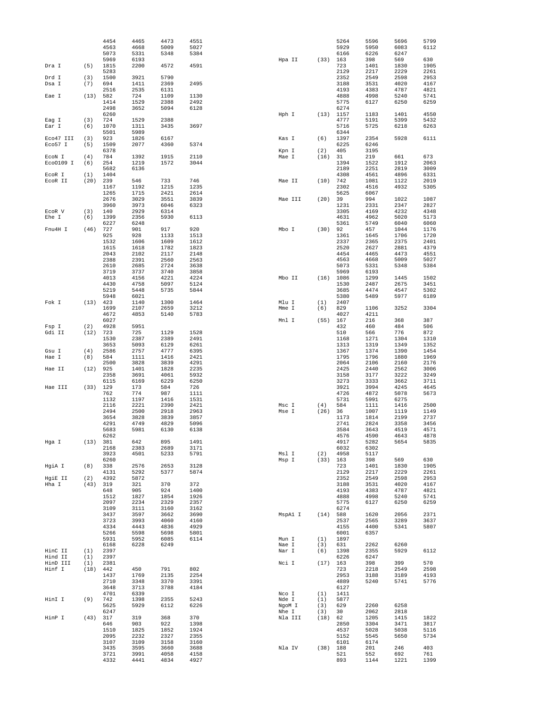|                    |             | 4454<br>4563 | 4465<br>4668 | 4473<br>5009 | 4551<br>5027 |                 |             | 5264<br>5929 | 5596<br>5950 | 5696<br>6083 | 5799<br>6112 |
|--------------------|-------------|--------------|--------------|--------------|--------------|-----------------|-------------|--------------|--------------|--------------|--------------|
|                    |             | 5073         | 5331         | 5348         | 5384         |                 |             | 6166         | 6226         | 6247         |              |
|                    |             | 5969         | 6193         |              | 4591         | Hpa II          | (33)        | 163          | 398          | 569          | 630<br>1905  |
| Dra I              | (5)         | 1815<br>5283 | 2200         | 4572         |              |                 |             | 723<br>2129  | 1401<br>2217 | 1830<br>2229 | 2261         |
| Drd I              | (3)         | 1500         | 3921         | 5790         |              |                 |             | 2352         | 2549         | 2598         | 2953         |
| Dsa I              | (7)         | 694<br>2516  | 1411<br>2535 | 2369<br>6131 | 2495         |                 |             | 3188<br>4193 | 3531<br>4383 | 4020<br>4787 | 4167<br>4821 |
| Eae I              | (13)        | 582          | 724          | 1109         | 1130         |                 |             | 4888         | 4998         | 5240         | 5741         |
|                    |             | 1414         | 1529         | 2388         | 2492         |                 |             | 5775         | 6127         | 6250         | 6259         |
|                    |             | 2498<br>6260 | 3652         | 5094         | 6128         | Hph I           | (13)        | 6274<br>1157 | 1183         | 1401         | 4550         |
| Eag I              | (3)         | 724          | 1529         | 2388         |              |                 |             | 4777         | 5191         | 5399         | 5432         |
| Ear I              | (6)         | 1070<br>5501 | 1311<br>5989 | 3435         | 3697         |                 |             | 5716<br>6344 | 5725         | 6218         | 6263         |
| Eco47 III          | (3)         | 923          | 1826         | 6167         |              | Kas I           | (6)         | 1397         | 2354         | 5928         | 6111         |
| Eco57 I            | (5)         | 1509         | 2077         | 4360         | 5374         |                 |             | 6225         | 6246         |              |              |
| ECON I             | (4)         | 6378<br>784  | 1392         | 1915         | 2110         | Kpn I<br>Mae I  | (2)<br>(16) | 405<br>31    | 3195<br>219  | 661          | 673          |
| Eco0109 I          | (6)         | 254          | 1219         | 1572         | 3044         |                 |             | 1394         | 1522         | 1912         | 2063         |
| ECOR I             | (1)         | 5682<br>1404 | 6136         |              |              |                 |             | 2189<br>4308 | 2251<br>4561 | 2819<br>4896 | 3009<br>6331 |
| ECOR II            | (20)        | 239          | 546          | 733          | 746          | Mae II          | (10)        | 742          | 1081         | 1122         | 2019         |
|                    |             | 1167         | 1192         | 1215         | 1235         |                 |             | 2302         | 4516         | 4932         | 5305         |
|                    |             | 1265<br>2676 | 1715<br>3029 | 2421<br>3551 | 2614<br>3839 | Mae III         | (20)        | 5625<br>39   | 6067<br>994  | 1022         | 1087         |
|                    |             | 3960         | 3973         | 6046         | 6323         |                 |             | 1231         | 2331         | 2347         | 2827         |
| ECOR V<br>Ehe I    | (3)<br>(6)  | 140<br>1399  | 2929<br>2356 | 6314<br>5930 | 6113         |                 |             | 3305<br>4631 | 4169<br>4962 | 4232<br>5020 | 4348<br>5173 |
|                    |             | 6227         | 6248         |              |              |                 |             | 5361         | 5749         | 6040         | 6060         |
| Fnu4H I            | (46)        | 727          | 901          | 917          | 920          | Mbo I           | (30)        | 92           | 457          | 1044         | 1176         |
|                    |             | 925<br>1532  | 928<br>1606  | 1133<br>1609 | 1513<br>1612 |                 |             | 1361<br>2337 | 1645<br>2365 | 1706<br>2375 | 1720<br>2401 |
|                    |             | 1615         | 1618         | 1782         | 1823         |                 |             | 2520         | 2627         | 2881         | 4379         |
|                    |             | 2043<br>2388 | 2102<br>2391 | 2117<br>2560 | 2148<br>2563 |                 |             | 4454<br>4563 | 4465<br>4668 | 4473<br>5009 | 4551<br>5027 |
|                    |             | 2610         | 2685         | 2724         | 3638         |                 |             | 5073         | 5331         | 5348         | 5384         |
|                    |             | 3719<br>4013 | 3737<br>4156 | 3740<br>4221 | 3858<br>4224 | Mbo II          | (16)        | 5969<br>1086 | 6193<br>1299 | 1445         | 1502         |
|                    |             | 4430         | 4758         | 5097         | 5124         |                 |             | 1530         | 2487         | 2675         | 3451         |
|                    |             | 5219         | 5448         | 5735         | 5844         |                 |             | 3685         | 4474         | 4547         | 5302         |
| Fok I              | (13)        | 5948<br>423  | 6021<br>1140 | 1300         | 1464         | Mlu I           | (1)         | 5380<br>2407 | 5489         | 5977         | 6189         |
|                    |             | 1699         | 2107         | 2659         | 3212         | Mme I           | (6)         | 829          | 1106         | 3252         | 3304         |
|                    |             | 4672<br>6027 | 4853         | 5140         | 5783         | Mnl I           | (55)        | 4027<br>167  | 4211<br>216  | 368          | 387          |
| Fsp I              | (2)         | 4928         | 5951         |              |              |                 |             | 432          | 460          | 484          | 506          |
| Gdi II             | (12)        | 723          | 725          | 1129         | 1528         |                 |             | 510          | 566          | 776          | 872          |
|                    |             | 1530<br>3653 | 2387<br>5093 | 2389<br>6129 | 2491<br>6261 |                 |             | 1168<br>1313 | 1271<br>1319 | 1304<br>1349 | 1310<br>1352 |
| Gsu I              | (4)         | 2586         | 2757         | 4777         | 6395         |                 |             | 1367         | 1374         | 1390         | 1454         |
| Hae I              | (8)         | 584<br>2500  | 1111<br>3828 | 1416<br>3839 | 2421<br>4291 |                 |             | 1795<br>2064 | 1796<br>2106 | 1880<br>2160 | 1969<br>2176 |
| Hae II             | (12)        | 925          | 1401         | 1828         | 2235         |                 |             | 2425         | 2440         | 2562         | 3006         |
|                    |             | 2358<br>6115 | 3691         | 4061         | 5932         |                 |             | 3158         | 3177         | 3222         | 3249<br>3711 |
| Hae III            | (33)        | 129          | 6169<br>173  | 6229<br>584  | 6250<br>726  |                 |             | 3273<br>3921 | 3333<br>3994 | 3662<br>4245 | 4645         |
|                    |             | 762          | 774          | 987          | 1111         |                 |             | 4726         | 4872         | 5078         | 5673         |
|                    |             | 1132<br>2116 | 1197<br>2221 | 1416<br>2390 | 1531<br>2421 | Msc I           | (4)         | 5731<br>584  | 5991<br>1111 | 6275<br>1416 | 2500         |
|                    |             | 2494         | 2500         | 2918         | 2963         | Mse I           | (26)        | 36           | 1007         | 1119         | 1149         |
|                    |             | 3654<br>4291 | 3828<br>4749 | 3839<br>4829 | 3857<br>5096 |                 |             | 1173<br>2741 | 1814<br>2824 | 2199<br>3358 | 2737<br>3456 |
|                    |             | 5683         | 5981         | 6130         | 6138         |                 |             | 3584         | 3643         | 4519         | 4571         |
|                    |             | 6262         |              |              |              |                 |             | 4576         | 4590         | 4643         | 4878         |
| Hga I              | (13)        | 381<br>2168  | 642<br>2383  | 895<br>2689  | 1491<br>3171 |                 |             | 4917<br>6032 | 5282<br>6302 | 5654         | 5835         |
|                    |             | 3923         | 4501         | 5233         | 5791         | Msl I           | (2)         | 4958         | 5117         |              |              |
| HgiA I             | (8)         | 6260<br>338  | 2576         | 2653         | 3128         | Msp I           | (33)        | 163<br>723   | 398<br>1401  | 569<br>1830  | 630<br>1905  |
|                    |             | 4131         | 5292         | 5377         | 5874         |                 |             | 2129         | 2217         | 2229         | 2261         |
| HgiE II<br>Hha I   | (2)<br>(43) | 4392<br>319  | 5872<br>321  | 370          | 372          |                 |             | 2352<br>3188 | 2549<br>3531 | 2598<br>4020 | 2953<br>4167 |
|                    |             | 648          | 905          | 924          | 1400         |                 |             | 4193         | 4383         | 4787         | 4821         |
|                    |             | 1512         | 1827         | 1854         | 1926         |                 |             | 4888         | 4998         | 5240         | 5741         |
|                    |             | 2097<br>3109 | 2234<br>3111 | 2329<br>3160 | 2357<br>3162 |                 |             | 5775<br>6274 | 6127         | 6250         | 6259         |
|                    |             | 3437         | 3597         | 3662         | 3690         | MspA1 I         | (14)        | 588          | 1620         | 2056         | 2371         |
|                    |             | 3723<br>4334 | 3993<br>4443 | 4060<br>4836 | 4160<br>4929 |                 |             | 2537<br>4155 | 2565<br>4400 | 3289<br>5341 | 3637<br>5807 |
|                    |             | 5266         | 5598         | 5698         | 5801         |                 |             | 6001         | 6357         |              |              |
|                    |             | 5931         | 5952         | 6085         | 6114         | Mun I           | (1)         | 1897         |              |              |              |
| HinC II            | (1)         | 6168<br>2397 | 6228         | 6249         |              | Nae I<br>Nar I  | (3)<br>(6)  | 631<br>1398  | 2262<br>2355 | 6260<br>5929 | 6112         |
| Hind II            | (1)         | 2397         |              |              |              |                 |             | 6226         | 6247         |              |              |
| HinD III<br>Hinf I | (1)<br>(18) | 2381<br>442  | 450          | 791          | 802          | Nci I           | (17)        | 163<br>723   | 398<br>2218  | 399<br>2549  | 570<br>2598  |
|                    |             | 1437         | 1769         | 2135         | 2254         |                 |             | 2953         | 3188         | 3189         | 4193         |
|                    |             | 2710         | 3348         | 3370         | 3391         |                 |             | 4889         | 5240         | 5741         | 5776         |
|                    |             | 3648<br>4701 | 3713<br>6339 | 3788         | 4184         | Nco I           | (1)         | 6127<br>1411 |              |              |              |
| HinI I             | (9)         | 742          | 1398         | 2355         | 5243         | Nde I           | (1)         | 5877         |              |              |              |
|                    |             | 5625<br>6247 | 5929         | 6112         | 6226         | NgoM I<br>Nhe I | (3)<br>(3)  | 629<br>30    | 2260<br>2062 | 6258<br>2818 |              |
| HinP I             | (43)        | 317          | 319          | 368          | 370          | Nla III         | (18)        | 62           | 1205         | 1415         | 1822         |
|                    |             | 646          | 903          | 922          | 1398         |                 |             | 2850         | 3304         | 3471         | 3817         |
|                    |             | 1510<br>2095 | 1825<br>2232 | 1852<br>2327 | 1924<br>2355 |                 |             | 4537<br>5152 | 5028<br>5545 | 5038<br>5650 | 5116<br>5734 |
|                    |             | 3107         | 3109         | 3158         | 3160         |                 |             | 6101         | 6174         |              |              |
|                    |             | 3435<br>3721 | 3595<br>3991 | 3660<br>4058 | 3688<br>4158 | Nla IV          | (38)        | 188<br>521   | 201<br>552   | 246<br>692   | 403<br>761   |
|                    |             | 4332         | 4441         | 4834         | 4927         |                 |             | 893          | 1144         | 1221         | 1399         |